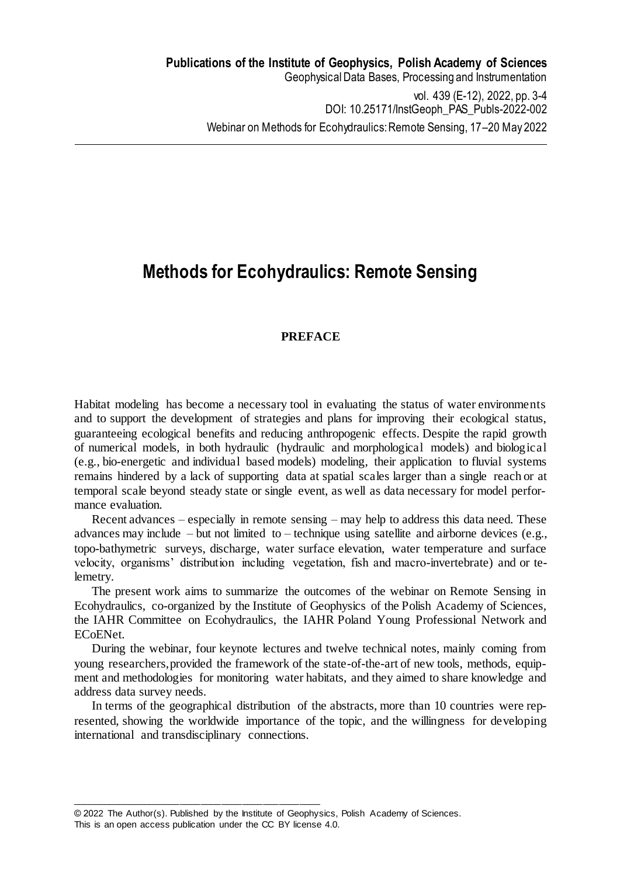## **Methods for Ecohydraulics: Remote Sensing**

## **PREFACE**

Habitat modeling has become a necessary tool in evaluating the status of water environments and to support the development of strategies and plans for improving their ecological status, guaranteeing ecological benefits and reducing anthropogenic effects. Despite the rapid growth of numerical models, in both hydraulic (hydraulic and morphological models) and biological (e.g., bio-energetic and individual based models) modeling, their application to fluvial systems remains hindered by a lack of supporting data at spatial scales larger than a single reach or at temporal scale beyond steady state or single event, as well as data necessary for model performance evaluation.

Recent advances – especially in remote sensing – may help to address this data need. These advances may include – but not limited to – technique using satellite and airborne devices (e.g., topo-bathymetric surveys, discharge, water surface elevation, water temperature and surface velocity, organisms' distribution including vegetation, fish and macro-invertebrate) and or telemetry.

The present work aims to summarize the outcomes of the webinar on Remote Sensing in Ecohydraulics, co-organized by the Institute of Geophysics of the Polish Academy of Sciences, the IAHR Committee on Ecohydraulics, the IAHR Poland Young Professional Network and ECoENet.

During the webinar, four keynote lectures and twelve technical notes, mainly coming from young researchers, provided the framework of the state-of-the-art of new tools, methods, equipment and methodologies for monitoring water habitats, and they aimed to share knowledge and address data survey needs.

In terms of the geographical distribution of the abstracts, more than 10 countries were represented, showing the worldwide importance of the topic, and the willingness for developing international and transdisciplinary connections.

\_\_\_\_\_\_\_\_\_\_\_\_\_\_\_\_\_\_\_\_\_\_\_\_\_\_\_\_\_\_\_\_\_\_\_\_\_\_\_\_\_\_\_\_\_\_\_\_

<sup>© 2022</sup> The Author(s). Published by the Institute of Geophysics, Polish Academy of Sciences.

This is an open access publication under the CC BY license 4.0.